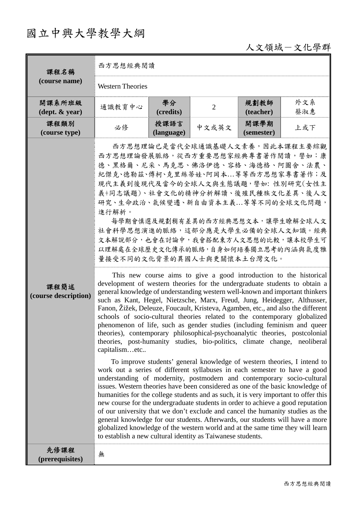## 國立中興大學教學大綱

人文領域-文化學群

| 課程名稱                                       | 西方思想經典閱讀                                                                                                                                                                                                                                                                                                                                                                                                                                                                                                                                                                                                                                                                                                                                                                                                                                                                                                                                                                                                                                                                                                                                                                                                                                                                                                                                                                                                                                                                                                                                                                                                                                                                                                                                                                                   |                    |                                                                                                                                                                                                                     |                    |            |  |  |
|--------------------------------------------|--------------------------------------------------------------------------------------------------------------------------------------------------------------------------------------------------------------------------------------------------------------------------------------------------------------------------------------------------------------------------------------------------------------------------------------------------------------------------------------------------------------------------------------------------------------------------------------------------------------------------------------------------------------------------------------------------------------------------------------------------------------------------------------------------------------------------------------------------------------------------------------------------------------------------------------------------------------------------------------------------------------------------------------------------------------------------------------------------------------------------------------------------------------------------------------------------------------------------------------------------------------------------------------------------------------------------------------------------------------------------------------------------------------------------------------------------------------------------------------------------------------------------------------------------------------------------------------------------------------------------------------------------------------------------------------------------------------------------------------------------------------------------------------------|--------------------|---------------------------------------------------------------------------------------------------------------------------------------------------------------------------------------------------------------------|--------------------|------------|--|--|
| (course name)                              | <b>Western Theories</b>                                                                                                                                                                                                                                                                                                                                                                                                                                                                                                                                                                                                                                                                                                                                                                                                                                                                                                                                                                                                                                                                                                                                                                                                                                                                                                                                                                                                                                                                                                                                                                                                                                                                                                                                                                    |                    |                                                                                                                                                                                                                     |                    |            |  |  |
| 開課系所班級<br>$(\text{dept.} \& \text{ year})$ | 通識教育中心                                                                                                                                                                                                                                                                                                                                                                                                                                                                                                                                                                                                                                                                                                                                                                                                                                                                                                                                                                                                                                                                                                                                                                                                                                                                                                                                                                                                                                                                                                                                                                                                                                                                                                                                                                                     | 學分<br>(credits)    | $\overline{2}$                                                                                                                                                                                                      | 規劃教師<br>(teacher)  | 外文系<br>蔡淑惠 |  |  |
| 課程類別<br>(course type)                      | 必修                                                                                                                                                                                                                                                                                                                                                                                                                                                                                                                                                                                                                                                                                                                                                                                                                                                                                                                                                                                                                                                                                                                                                                                                                                                                                                                                                                                                                                                                                                                                                                                                                                                                                                                                                                                         | 授課語言<br>(language) | 中文或英文                                                                                                                                                                                                               | 開課學期<br>(semester) | 上或下        |  |  |
| 課程簡述<br>(course description)               | 西方思想理論發展脈絡,從西方重要思想家經典專書著作閱讀,譬如:康<br>德、黑格爾、尼采、馬克思、佛洛伊德、容格、海德格、阿圖舍、法農、<br>紀傑克、德勒茲、傅柯、克里絲蒂娃、阿岡本等等西方思想家專書著作;及<br>現代主義到後現代及當今的全球人文與生態議題,譬如: 性別研究(女性主<br>義+同志議題)、社會文化的精神分析解讀、後殖民種族文化差異、後人文<br>研究、生命政治、氣候變遷、新自由資本主義等等不同的全球文化問題,<br>進行解析。<br>社會科學思想演進的脈絡,這部分應是大學生必備的全球人文知識。經典<br>文本解說部分,也會在討論中,我會搭配東方人文思想的比較,讓本校學生可<br>以理解處在全球歷史文化傳承的脈絡,自身如何培養獨立思考的內涵與氣度雅<br>量接受不同的文化背景的異國人士與更關懷本土台灣文化。<br>development of western theories for the undergraduate students to obtain a<br>general knowledge of understanding western well-known and important thinkers<br>such as Kant, Hegel, Nietzsche, Marx, Freud, Jung, Heidegger, Althusser,<br>Fanon, Žižek, Deleuze, Foucault, Kristeva, Agamben, etc., and also the different<br>schools of socio-cultural theories related to the contemporary globalized<br>phenomenon of life, such as gender studies (including feminism and queer<br>theories), contemporary philosophical-psychoanalytic theories, postcolonial<br>theories, post-humanity studies, bio-politics, climate change, neoliberal<br>capitalismetc<br>work out a series of different syllabuses in each semester to have a good<br>understanding of modernity, postmodern and contemporary socio-cultural<br>issues. Western theories have been considered as one of the basic knowledge of<br>humanities for the college students and as such, it is very important to offer this<br>new course for the undergraduate students in order to achieve a good reputation<br>of our university that we don't exclude and cancel the humanity studies as the<br>general knowledge for our students. Afterwards, our students will have a more<br>globalized knowledge of the western world and at the same time they will learn<br>to establish a new cultural identity as Taiwanese students. |                    | 西方思想理論已是當代全球通識基礎人文素養,因此本課程主要綜觀<br>每學期會慎選及規劃稍有差異的西方經典思想文本,讓學生瞭解全球人文<br>This new course aims to give a good introduction to the historical<br>To improve students' general knowledge of western theories, I intend to |                    |            |  |  |
| 先修課程<br>(prerequisites)                    | 無                                                                                                                                                                                                                                                                                                                                                                                                                                                                                                                                                                                                                                                                                                                                                                                                                                                                                                                                                                                                                                                                                                                                                                                                                                                                                                                                                                                                                                                                                                                                                                                                                                                                                                                                                                                          |                    |                                                                                                                                                                                                                     |                    |            |  |  |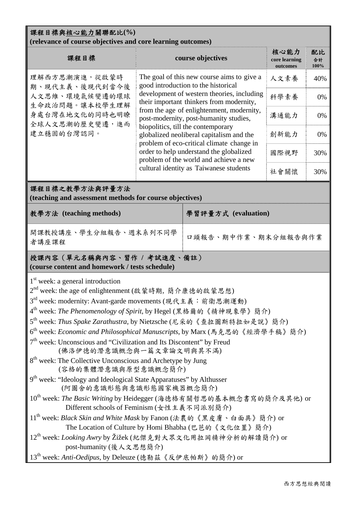| 課程目標與核心能力關聯配比(%)<br>(relevance of course objectives and core learning outcomes)                                                                                                                                                                                                                                                                                                                                                                                                                                                                                                                                                                                                                                                                                                                                                                                                                                                                                                                                                                                                                                                                                                                                    |                                                                                                                                                                                                                                                                                                                                                                                                                                                                                                                                   |                   |      |                  |  |  |  |  |  |
|--------------------------------------------------------------------------------------------------------------------------------------------------------------------------------------------------------------------------------------------------------------------------------------------------------------------------------------------------------------------------------------------------------------------------------------------------------------------------------------------------------------------------------------------------------------------------------------------------------------------------------------------------------------------------------------------------------------------------------------------------------------------------------------------------------------------------------------------------------------------------------------------------------------------------------------------------------------------------------------------------------------------------------------------------------------------------------------------------------------------------------------------------------------------------------------------------------------------|-----------------------------------------------------------------------------------------------------------------------------------------------------------------------------------------------------------------------------------------------------------------------------------------------------------------------------------------------------------------------------------------------------------------------------------------------------------------------------------------------------------------------------------|-------------------|------|------------------|--|--|--|--|--|
| 課程目標                                                                                                                                                                                                                                                                                                                                                                                                                                                                                                                                                                                                                                                                                                                                                                                                                                                                                                                                                                                                                                                                                                                                                                                                               |                                                                                                                                                                                                                                                                                                                                                                                                                                                                                                                                   | course objectives |      | 配比<br>合計<br>100% |  |  |  |  |  |
| 理解西方思潮演進,從啟蒙時<br>期、現代主義、後現代到當今後                                                                                                                                                                                                                                                                                                                                                                                                                                                                                                                                                                                                                                                                                                                                                                                                                                                                                                                                                                                                                                                                                                                                                                                    | The goal of this new course aims to give a<br>good introduction to the historical<br>development of western theories, including<br>their important thinkers from modernity,<br>from the age of enlightenment, modernity,<br>post-modernity, post-humanity studies,<br>biopolitics, till the contemporary<br>globalized neoliberal capitalism and the<br>problem of eco-critical climate change in<br>order to help understand the globalized<br>problem of the world and achieve a new<br>cultural identity as Taiwanese students |                   | 人文素養 | 40%              |  |  |  |  |  |
| 人文思維、環境氣候變遷的環球<br>生命政治問題。讓本校學生理解                                                                                                                                                                                                                                                                                                                                                                                                                                                                                                                                                                                                                                                                                                                                                                                                                                                                                                                                                                                                                                                                                                                                                                                   |                                                                                                                                                                                                                                                                                                                                                                                                                                                                                                                                   |                   | 科學素養 | 0%               |  |  |  |  |  |
| 身處台灣在地文化的同時也明瞭<br>全球人文思潮的歷史變遷,進而                                                                                                                                                                                                                                                                                                                                                                                                                                                                                                                                                                                                                                                                                                                                                                                                                                                                                                                                                                                                                                                                                                                                                                                   |                                                                                                                                                                                                                                                                                                                                                                                                                                                                                                                                   |                   | 溝通能力 | 0%               |  |  |  |  |  |
| 建立穩固的台灣認同。                                                                                                                                                                                                                                                                                                                                                                                                                                                                                                                                                                                                                                                                                                                                                                                                                                                                                                                                                                                                                                                                                                                                                                                                         |                                                                                                                                                                                                                                                                                                                                                                                                                                                                                                                                   |                   | 創新能力 | 0%               |  |  |  |  |  |
|                                                                                                                                                                                                                                                                                                                                                                                                                                                                                                                                                                                                                                                                                                                                                                                                                                                                                                                                                                                                                                                                                                                                                                                                                    |                                                                                                                                                                                                                                                                                                                                                                                                                                                                                                                                   |                   | 國際視野 | 30%              |  |  |  |  |  |
|                                                                                                                                                                                                                                                                                                                                                                                                                                                                                                                                                                                                                                                                                                                                                                                                                                                                                                                                                                                                                                                                                                                                                                                                                    |                                                                                                                                                                                                                                                                                                                                                                                                                                                                                                                                   |                   | 社會關懷 | 30%              |  |  |  |  |  |
| 課程目標之教學方法與評量方法<br>(teaching and assessment methods for course objectives)                                                                                                                                                                                                                                                                                                                                                                                                                                                                                                                                                                                                                                                                                                                                                                                                                                                                                                                                                                                                                                                                                                                                          |                                                                                                                                                                                                                                                                                                                                                                                                                                                                                                                                   |                   |      |                  |  |  |  |  |  |
| 教學方法 (teaching methods)                                                                                                                                                                                                                                                                                                                                                                                                                                                                                                                                                                                                                                                                                                                                                                                                                                                                                                                                                                                                                                                                                                                                                                                            | 學習評量方式 (evaluation)                                                                                                                                                                                                                                                                                                                                                                                                                                                                                                               |                   |      |                  |  |  |  |  |  |
| 開課教授講座、學生分組報告、週末系列不同學<br>者講座課程                                                                                                                                                                                                                                                                                                                                                                                                                                                                                                                                                                                                                                                                                                                                                                                                                                                                                                                                                                                                                                                                                                                                                                                     | 口頭報告、期中作業、期末分組報告與作業                                                                                                                                                                                                                                                                                                                                                                                                                                                                                                               |                   |      |                  |  |  |  |  |  |
| 授課內容 (單元名稱與內容、習作 / 考試進度、備註)<br>(course content and homework / tests schedule)                                                                                                                                                                                                                                                                                                                                                                                                                                                                                                                                                                                                                                                                                                                                                                                                                                                                                                                                                                                                                                                                                                                                      |                                                                                                                                                                                                                                                                                                                                                                                                                                                                                                                                   |                   |      |                  |  |  |  |  |  |
| $1st$ week: a general introduction<br>2 <sup>nd</sup> week: the age of enlightenment (啟蒙時期, 簡介康德的啟蒙思想)<br>3 <sup>rd</sup> week: modernity: Avant-garde movements (現代主義: 前衛思潮運動)<br>4 <sup>th</sup> week: The Phenomenology of Spirit, by Hegel (黑格爾的《精神現象學》簡介)<br>5 <sup>th</sup> week: Thus Spake Zarathustra, by Nietzsche (尼采的《查拉圖斯特拉如是說》簡介)<br>6 <sup>th</sup> week: Economic and Philosophical Manuscripts, by Marx (馬克思的《經濟學手稿》簡介)<br>$7th$ week: Unconscious and "Civilization and Its Discontent" by Freud<br>(佛洛伊德的潛意識概念與一篇文章論文明與其不滿)<br>8 <sup>th</sup> week: The Collective Unconscious and Archetype by Jung<br>(容格的集體潛意識與原型意識概念簡介)<br>9 <sup>th</sup> week: "Ideology and Ideological State Apparatuses" by Althusser<br>(阿圖舍的意識形態與意識形態國家機器概念簡介)<br>10 <sup>th</sup> week: The Basic Writing by Heidegger (海德格有關哲思的基本概念書寫的簡介及其他) or<br>Different schools of Feminism (女性主義不同派別簡介)<br>11 <sup>th</sup> week: Black Skin and White Mask by Fanon (法農的《黑皮膚、白面具》簡介) or<br>The Location of Culture by Homi Bhabha (巴芭的《文化位置》簡介)<br>12 <sup>th</sup> week: Looking Awry by Žižek (紀傑克對大眾文化用拉岡精神分析的解讀簡介) or<br>post-humanity (後人文思想簡介)<br>13 <sup>th</sup> week: Anti-Oedipus, by Deleuze (德勒兹《反伊底帕斯》的簡介) or |                                                                                                                                                                                                                                                                                                                                                                                                                                                                                                                                   |                   |      |                  |  |  |  |  |  |